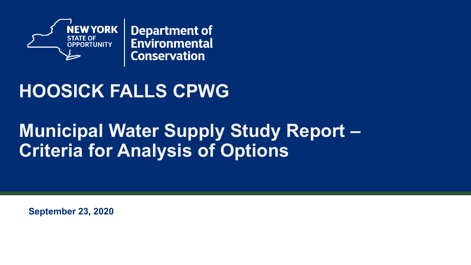

**Department of** Environmental **Conservation** 

### **HOOSICK FALLS CPWG**

### **Municipal Water Supply Study Report – Criteria for Analysis of Options**

**September 23, 2020**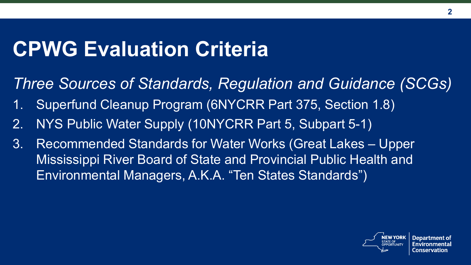## **CPWG Evaluation Criteria**

*Three Sources of Standards, Regulation and Guidance (SCGs)*

- 1. Superfund Cleanup Program (6NYCRR Part 375, Section 1.8)
- 2. NYS Public Water Supply (10NYCRR Part 5, Subpart 5-1)
- 3. Recommended Standards for Water Works (Great Lakes Upper Mississippi River Board of State and Provincial Public Health and Environmental Managers, A.K.A. "Ten States Standards")



Department of Ionservation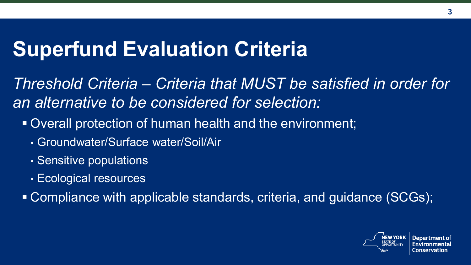## **Superfund Evaluation Criteria**

*Threshold Criteria – Criteria that MUST be satisfied in order for an alternative to be considered for selection:*

- Overall protection of human health and the environment;
	- Groundwater/Surface water/Soil/Air
	- Sensitive populations
	- Ecological resources

Compliance with applicable standards, criteria, and guidance (SCGs);

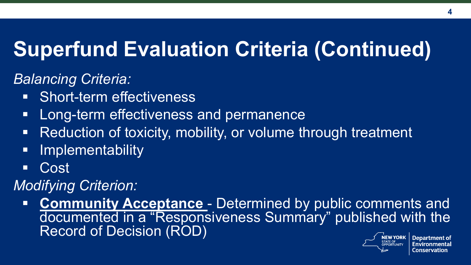# **Superfund Evaluation Criteria (Continued)**

#### *Balancing Criteria:*

- **Short-term effectiveness**
- **-** Long-term effectiveness and permanence
- Reduction of toxicity, mobility, or volume through treatment
- **Implementability**
- Cost

#### *Modifying Criterion:*

**Community Acceptance** - Determined by public comments and documented in a "Responsiveness Summary" published with the Record of Decision (ROD) **IEW YORK Department of** 

.onservation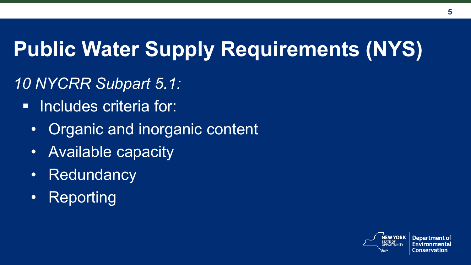# **Public Water Supply Requirements (NYS)**

#### *10 NYCRR Subpart 5.1:*

- **Includes criteria for:** 
	- Organic and inorganic content
	- Available capacity
	- Redundancy
	- Reporting

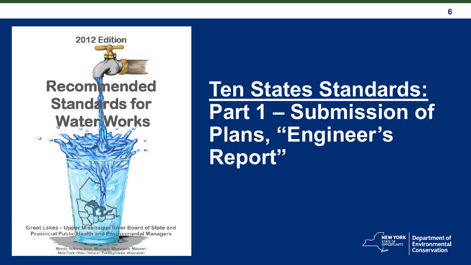

## **Ten States Standards: Part 1 – Submission of Plans, "Engineer's Report"**



**Department of** Environmental **Conservation**